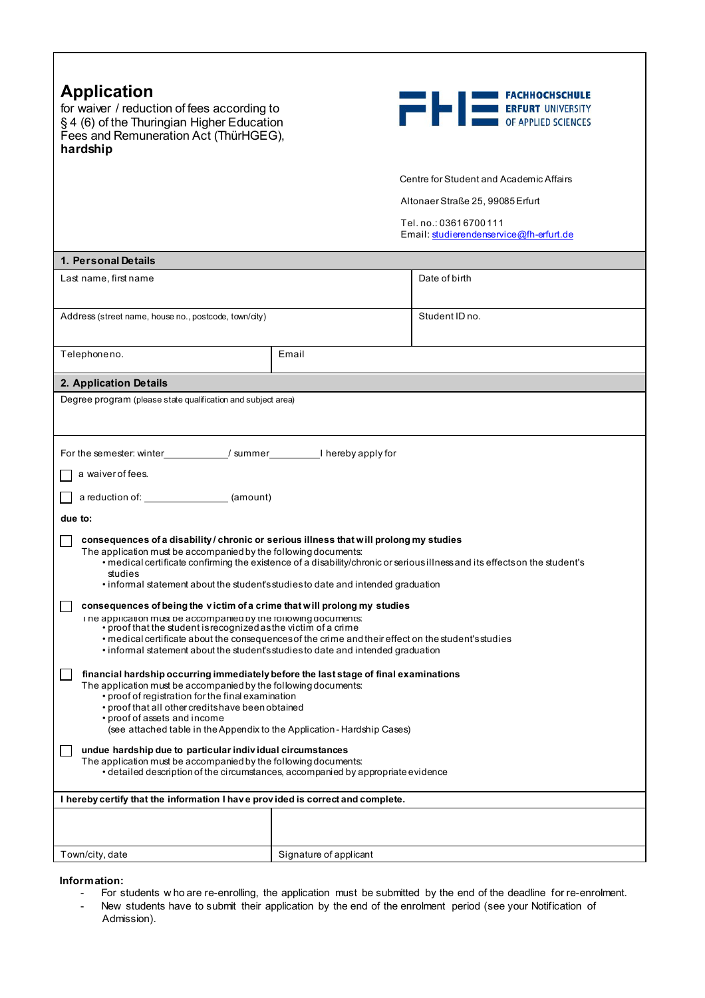| <b>Application</b><br><b>EXAMPLE TO BE DESCRIPTED SCIENCES</b><br>for waiver / reduction of fees according to<br>§ 4 (6) of the Thuringian Higher Education<br>Fees and Remuneration Act (ThürHGEG),<br>hardship                                                                                                                                                                                                                                                                                                                                                                                                                                                                                                                                                                                                                                                                                                                                                                                                                                                                                                                                                                                                                                                                                                                                                                                                                                                                                                                                                                                                                         |                                  |                                                                 |  |  |  |
|------------------------------------------------------------------------------------------------------------------------------------------------------------------------------------------------------------------------------------------------------------------------------------------------------------------------------------------------------------------------------------------------------------------------------------------------------------------------------------------------------------------------------------------------------------------------------------------------------------------------------------------------------------------------------------------------------------------------------------------------------------------------------------------------------------------------------------------------------------------------------------------------------------------------------------------------------------------------------------------------------------------------------------------------------------------------------------------------------------------------------------------------------------------------------------------------------------------------------------------------------------------------------------------------------------------------------------------------------------------------------------------------------------------------------------------------------------------------------------------------------------------------------------------------------------------------------------------------------------------------------------------|----------------------------------|-----------------------------------------------------------------|--|--|--|
|                                                                                                                                                                                                                                                                                                                                                                                                                                                                                                                                                                                                                                                                                                                                                                                                                                                                                                                                                                                                                                                                                                                                                                                                                                                                                                                                                                                                                                                                                                                                                                                                                                          |                                  | Centre for Student and Academic Affairs                         |  |  |  |
|                                                                                                                                                                                                                                                                                                                                                                                                                                                                                                                                                                                                                                                                                                                                                                                                                                                                                                                                                                                                                                                                                                                                                                                                                                                                                                                                                                                                                                                                                                                                                                                                                                          | Altonaer Straße 25, 99085 Erfurt |                                                                 |  |  |  |
|                                                                                                                                                                                                                                                                                                                                                                                                                                                                                                                                                                                                                                                                                                                                                                                                                                                                                                                                                                                                                                                                                                                                                                                                                                                                                                                                                                                                                                                                                                                                                                                                                                          |                                  | Tel.no.: 03616700111<br>Email: studierendenservice@fh-erfurt.de |  |  |  |
| 1. Personal Details                                                                                                                                                                                                                                                                                                                                                                                                                                                                                                                                                                                                                                                                                                                                                                                                                                                                                                                                                                                                                                                                                                                                                                                                                                                                                                                                                                                                                                                                                                                                                                                                                      |                                  |                                                                 |  |  |  |
| Last name, first name                                                                                                                                                                                                                                                                                                                                                                                                                                                                                                                                                                                                                                                                                                                                                                                                                                                                                                                                                                                                                                                                                                                                                                                                                                                                                                                                                                                                                                                                                                                                                                                                                    |                                  | Date of birth                                                   |  |  |  |
| Address (street name, house no., postcode, town/city)                                                                                                                                                                                                                                                                                                                                                                                                                                                                                                                                                                                                                                                                                                                                                                                                                                                                                                                                                                                                                                                                                                                                                                                                                                                                                                                                                                                                                                                                                                                                                                                    |                                  | Student ID no.                                                  |  |  |  |
| Telephoneno.                                                                                                                                                                                                                                                                                                                                                                                                                                                                                                                                                                                                                                                                                                                                                                                                                                                                                                                                                                                                                                                                                                                                                                                                                                                                                                                                                                                                                                                                                                                                                                                                                             | Email                            |                                                                 |  |  |  |
| 2. Application Details                                                                                                                                                                                                                                                                                                                                                                                                                                                                                                                                                                                                                                                                                                                                                                                                                                                                                                                                                                                                                                                                                                                                                                                                                                                                                                                                                                                                                                                                                                                                                                                                                   |                                  |                                                                 |  |  |  |
| Degree program (please state qualification and subject area)                                                                                                                                                                                                                                                                                                                                                                                                                                                                                                                                                                                                                                                                                                                                                                                                                                                                                                                                                                                                                                                                                                                                                                                                                                                                                                                                                                                                                                                                                                                                                                             |                                  |                                                                 |  |  |  |
| For the semester: winter______________/ summer_____________I hereby apply for<br>a waiver of fees.<br>a reduction of: (amount)<br>due to:<br>consequences of a disability / chronic or serious illness that will prolong my studies<br>The application must be accompanied by the following documents:<br>• medical certificate confirming the existence of a disability/chronic or serious illness and its effects on the student's<br>studies<br>• informal statement about the student's studies to date and intended graduation<br>consequences of being the victim of a crime that will prolong my studies<br>I ne application must be accompanied by the following documents:<br>• proof that the student is recognized as the victim of a crime<br>• medical certificate about the consequences of the crime and their effect on the student's studies<br>• informal statement about the student's studies to date and intended graduation<br>financial hardship occurring immediately before the last stage of final examinations<br>The application must be accompanied by the following documents:<br>• proof of registration for the final examination<br>• proof that all other credits have been obtained<br>• proof of assets and income<br>(see attached table in the Appendix to the Application - Hardship Cases)<br>undue hardship due to particular individual circumstances<br>The application must be accompanied by the following documents:<br>• detailed description of the circumstances, accompanied by appropriate evidence<br>I hereby certify that the information I have provided is correct and complete. |                                  |                                                                 |  |  |  |
|                                                                                                                                                                                                                                                                                                                                                                                                                                                                                                                                                                                                                                                                                                                                                                                                                                                                                                                                                                                                                                                                                                                                                                                                                                                                                                                                                                                                                                                                                                                                                                                                                                          |                                  |                                                                 |  |  |  |
| Town/city, date                                                                                                                                                                                                                                                                                                                                                                                                                                                                                                                                                                                                                                                                                                                                                                                                                                                                                                                                                                                                                                                                                                                                                                                                                                                                                                                                                                                                                                                                                                                                                                                                                          | Signature of applicant           |                                                                 |  |  |  |

## **Information:**

 $\mathsf{r}$ 

- For students w ho are re-enrolling, the application must be submitted by the end of the deadline for re-enrolment.
- New students have to submit their application by the end of the enrolment period (see your Notification of Admission).